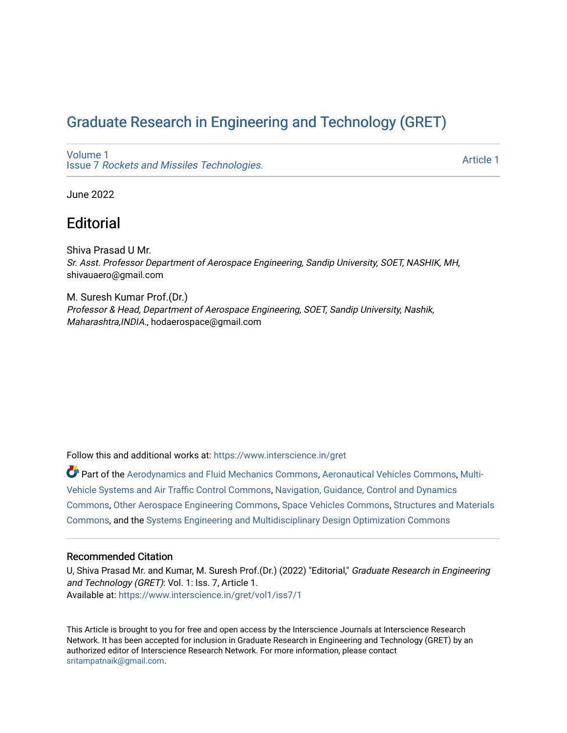# [Graduate Research in Engineering and Technology \(GRET\)](https://www.interscience.in/gret)

[Volume 1](https://www.interscience.in/gret/vol1) Issue 7 [Rockets and Missiles Technologies.](https://www.interscience.in/gret/vol1/iss7)

[Article 1](https://www.interscience.in/gret/vol1/iss7/1) 

June 2022

## **Editorial**

Shiva Prasad U Mr. Sr. Asst. Professor Department of Aerospace Engineering, Sandip University, SOET, NASHIK, MH, shivauaero@gmail.com

M. Suresh Kumar Prof.(Dr.) Professor & Head, Department of Aerospace Engineering, SOET, Sandip University, Nashik, Maharashtra,INDIA., hodaerospace@gmail.com

Follow this and additional works at: [https://www.interscience.in/gret](https://www.interscience.in/gret?utm_source=www.interscience.in%2Fgret%2Fvol1%2Fiss7%2F1&utm_medium=PDF&utm_campaign=PDFCoverPages)

Part of the [Aerodynamics and Fluid Mechanics Commons,](https://network.bepress.com/hgg/discipline/222?utm_source=www.interscience.in%2Fgret%2Fvol1%2Fiss7%2F1&utm_medium=PDF&utm_campaign=PDFCoverPages) [Aeronautical Vehicles Commons,](https://network.bepress.com/hgg/discipline/219?utm_source=www.interscience.in%2Fgret%2Fvol1%2Fiss7%2F1&utm_medium=PDF&utm_campaign=PDFCoverPages) [Multi-](https://network.bepress.com/hgg/discipline/227?utm_source=www.interscience.in%2Fgret%2Fvol1%2Fiss7%2F1&utm_medium=PDF&utm_campaign=PDFCoverPages)[Vehicle Systems and Air Traffic Control Commons,](https://network.bepress.com/hgg/discipline/227?utm_source=www.interscience.in%2Fgret%2Fvol1%2Fiss7%2F1&utm_medium=PDF&utm_campaign=PDFCoverPages) [Navigation, Guidance, Control and Dynamics](https://network.bepress.com/hgg/discipline/226?utm_source=www.interscience.in%2Fgret%2Fvol1%2Fiss7%2F1&utm_medium=PDF&utm_campaign=PDFCoverPages)  [Commons](https://network.bepress.com/hgg/discipline/226?utm_source=www.interscience.in%2Fgret%2Fvol1%2Fiss7%2F1&utm_medium=PDF&utm_campaign=PDFCoverPages), [Other Aerospace Engineering Commons](https://network.bepress.com/hgg/discipline/228?utm_source=www.interscience.in%2Fgret%2Fvol1%2Fiss7%2F1&utm_medium=PDF&utm_campaign=PDFCoverPages), [Space Vehicles Commons,](https://network.bepress.com/hgg/discipline/220?utm_source=www.interscience.in%2Fgret%2Fvol1%2Fiss7%2F1&utm_medium=PDF&utm_campaign=PDFCoverPages) [Structures and Materials](https://network.bepress.com/hgg/discipline/224?utm_source=www.interscience.in%2Fgret%2Fvol1%2Fiss7%2F1&utm_medium=PDF&utm_campaign=PDFCoverPages) [Commons](https://network.bepress.com/hgg/discipline/224?utm_source=www.interscience.in%2Fgret%2Fvol1%2Fiss7%2F1&utm_medium=PDF&utm_campaign=PDFCoverPages), and the [Systems Engineering and Multidisciplinary Design Optimization Commons](https://network.bepress.com/hgg/discipline/221?utm_source=www.interscience.in%2Fgret%2Fvol1%2Fiss7%2F1&utm_medium=PDF&utm_campaign=PDFCoverPages)

#### Recommended Citation

U, Shiva Prasad Mr. and Kumar, M. Suresh Prof.(Dr.) (2022) "Editorial," Graduate Research in Engineering and Technology (GRET): Vol. 1: Iss. 7, Article 1. Available at: [https://www.interscience.in/gret/vol1/iss7/1](https://www.interscience.in/gret/vol1/iss7/1?utm_source=www.interscience.in%2Fgret%2Fvol1%2Fiss7%2F1&utm_medium=PDF&utm_campaign=PDFCoverPages)

This Article is brought to you for free and open access by the Interscience Journals at Interscience Research Network. It has been accepted for inclusion in Graduate Research in Engineering and Technology (GRET) by an authorized editor of Interscience Research Network. For more information, please contact [sritampatnaik@gmail.com](mailto:sritampatnaik@gmail.com).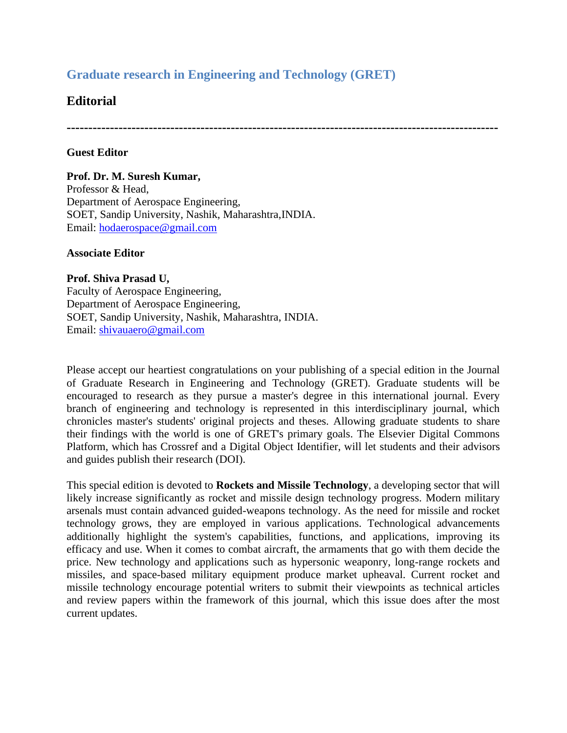## **Graduate research in Engineering and Technology (GRET)**

### **Editorial**

**----------------------------------------------------------------------------------------------------**

### **Guest Editor**

**Prof. Dr. M. Suresh Kumar,**  Professor & Head, Department of Aerospace Engineering, SOET, Sandip University, Nashik, Maharashtra,INDIA. Email: [hodaerospace@gmail.com](mailto:hodaerospace@gmail.com)

#### **Associate Editor**

**Prof. Shiva Prasad U,**  Faculty of Aerospace Engineering, Department of Aerospace Engineering, SOET, Sandip University, Nashik, Maharashtra, INDIA. Email: [shivauaero@gmail.com](mailto:shivauaero@gmail.com)

Please accept our heartiest congratulations on your publishing of a special edition in the Journal of Graduate Research in Engineering and Technology (GRET). Graduate students will be encouraged to research as they pursue a master's degree in this international journal. Every branch of engineering and technology is represented in this interdisciplinary journal, which chronicles master's students' original projects and theses. Allowing graduate students to share their findings with the world is one of GRET's primary goals. The Elsevier Digital Commons Platform, which has Crossref and a Digital Object Identifier, will let students and their advisors and guides publish their research (DOI).

This special edition is devoted to **Rockets and Missile Technology**, a developing sector that will likely increase significantly as rocket and missile design technology progress. Modern military arsenals must contain advanced guided-weapons technology. As the need for missile and rocket technology grows, they are employed in various applications. Technological advancements additionally highlight the system's capabilities, functions, and applications, improving its efficacy and use. When it comes to combat aircraft, the armaments that go with them decide the price. New technology and applications such as hypersonic weaponry, long-range rockets and missiles, and space-based military equipment produce market upheaval. Current rocket and missile technology encourage potential writers to submit their viewpoints as technical articles and review papers within the framework of this journal, which this issue does after the most current updates.